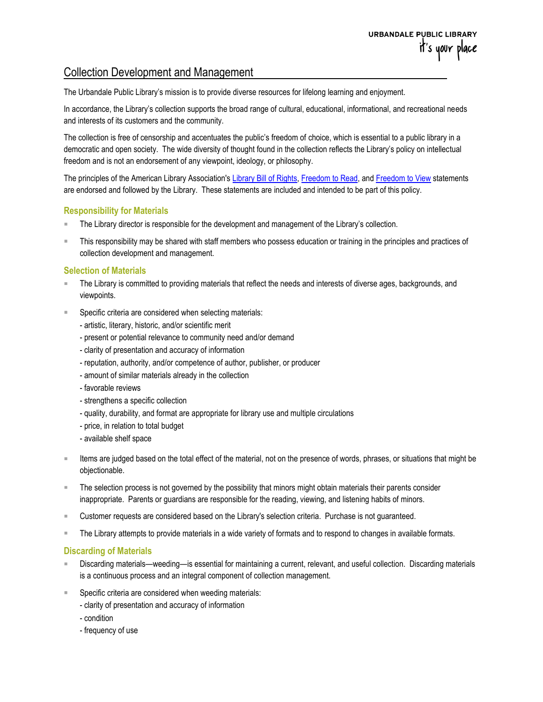# Collection Development and Management

The Urbandale Public Library's mission is to provide diverse resources for lifelong learning and enjoyment.

In accordance, the Library's collection supports the broad range of cultural, educational, informational, and recreational needs and interests of its customers and the community.

The collection is free of censorship and accentuates the public's freedom of choice, which is essential to a public library in a democratic and open society. The wide diversity of thought found in the collection reflects the Library's policy on intellectual freedom and is not an endorsement of any viewpoint, ideology, or philosophy.

The principles of the American Library Association's [Library Bill of Rights,](http://www.ala.org/advocacy/sites/ala.org.advocacy/files/content/LBORwithInterpretations.pdf) [Freedom to Read,](http://www.ala.org/aboutala/sites/ala.org.aboutala/files/content/LBOR%20%26%20FTR%20Statement.pdf) and [Freedom to View](http://www.ala.org/advocacy/intfreedom/freedomviewstatement) statements are endorsed and followed by the Library. These statements are included and intended to be part of this policy.

## **Responsibility for Materials**

- The Library director is responsible for the development and management of the Library's collection.
- This responsibility may be shared with staff members who possess education or training in the principles and practices of collection development and management.

## **Selection of Materials**

- The Library is committed to providing materials that reflect the needs and interests of diverse ages, backgrounds, and viewpoints.
- Specific criteria are considered when selecting materials:
	- artistic, literary, historic, and/or scientific merit
	- present or potential relevance to community need and/or demand
	- clarity of presentation and accuracy of information
	- reputation, authority, and/or competence of author, publisher, or producer
	- amount of similar materials already in the collection
	- favorable reviews
	- strengthens a specific collection
	- quality, durability, and format are appropriate for library use and multiple circulations
	- price, in relation to total budget
	- available shelf space
- Items are judged based on the total effect of the material, not on the presence of words, phrases, or situations that might be objectionable.
- The selection process is not governed by the possibility that minors might obtain materials their parents consider inappropriate. Parents or guardians are responsible for the reading, viewing, and listening habits of minors.
- Customer requests are considered based on the Library's selection criteria. Purchase is not guaranteed.
- The Library attempts to provide materials in a wide variety of formats and to respond to changes in available formats.

### **Discarding of Materials**

- Discarding materials—weeding—is essential for maintaining a current, relevant, and useful collection. Discarding materials is a continuous process and an integral component of collection management.
- Specific criteria are considered when weeding materials:
	- clarity of presentation and accuracy of information
	- condition
	- frequency of use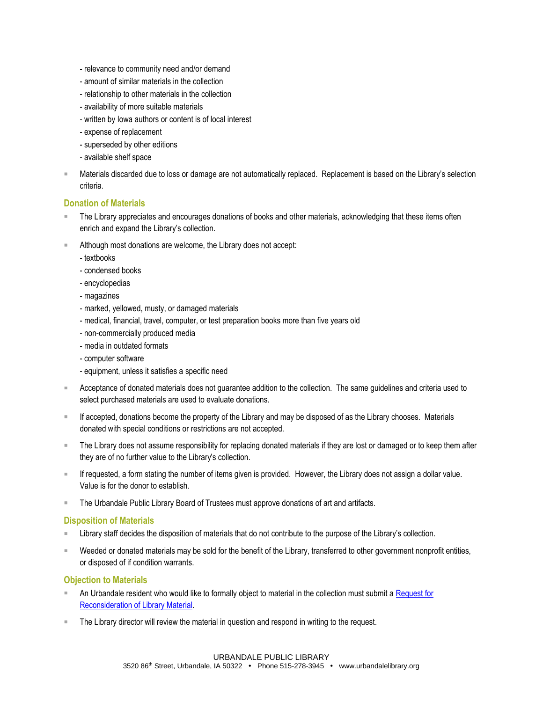- relevance to community need and/or demand
- amount of similar materials in the collection
- relationship to other materials in the collection
- availability of more suitable materials
- written by Iowa authors or content is of local interest
- expense of replacement
- superseded by other editions
- available shelf space
- Materials discarded due to loss or damage are not automatically replaced. Replacement is based on the Library's selection criteria.

#### **Donation of Materials**

- The Library appreciates and encourages donations of books and other materials, acknowledging that these items often enrich and expand the Library's collection.
- Although most donations are welcome, the Library does not accept:
	- textbooks
	- condensed books
	- encyclopedias
	- magazines
	- marked, yellowed, musty, or damaged materials
	- medical, financial, travel, computer, or test preparation books more than five years old
	- non-commercially produced media
	- media in outdated formats
	- computer software
	- equipment, unless it satisfies a specific need
- Acceptance of donated materials does not guarantee addition to the collection. The same guidelines and criteria used to select purchased materials are used to evaluate donations.
- If accepted, donations become the property of the Library and may be disposed of as the Library chooses. Materials donated with special conditions or restrictions are not accepted.
- The Library does not assume responsibility for replacing donated materials if they are lost or damaged or to keep them after they are of no further value to the Library's collection.
- If requested, a form stating the number of items given is provided. However, the Library does not assign a dollar value. Value is for the donor to establish.
- **The Urbandale Public Library Board of Trustees must approve donations of art and artifacts.**

#### **Disposition of Materials**

- Library staff decides the disposition of materials that do not contribute to the purpose of the Library's collection.
- Weeded or donated materials may be sold for the benefit of the Library, transferred to other government nonprofit entities, or disposed of if condition warrants.

#### **Objection to Materials**

- An Urbandale resident who would like to formally object to material in the collection must submit a Request for [Reconsideration of Library Material.](https://www.urbandalelibrary.org/app/uploads/2019/11/Request-for-Reconsideration-of-Library-Material.pdf)
- The Library director will review the material in question and respond in writing to the request.